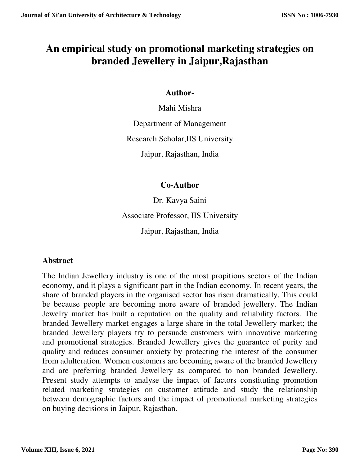# **An empirical study on promotional marketing strategies on branded Jewellery in Jaipur,Rajasthan**

## **Author-**

Mahi Mishra

Department of Management

Research Scholar,IIS University

Jaipur, Rajasthan, India

## **Co-Author**

Dr. Kavya Saini Associate Professor, IIS University Jaipur, Rajasthan, India

## **Abstract**

The Indian Jewellery industry is one of the most propitious sectors of the Indian economy, and it plays a significant part in the Indian economy. In recent years, the share of branded players in the organised sector has risen dramatically. This could be because people are becoming more aware of branded jewellery. The Indian Jewelry market has built a reputation on the quality and reliability factors. The branded Jewellery market engages a large share in the total Jewellery market; the branded Jewellery players try to persuade customers with innovative marketing and promotional strategies. Branded Jewellery gives the guarantee of purity and quality and reduces consumer anxiety by protecting the interest of the consumer from adulteration. Women customers are becoming aware of the branded Jewellery and are preferring branded Jewellery as compared to non branded Jewellery. Present study attempts to analyse the impact of factors constituting promotion related marketing strategies on customer attitude and study the relationship between demographic factors and the impact of promotional marketing strategies on buying decisions in Jaipur, Rajasthan.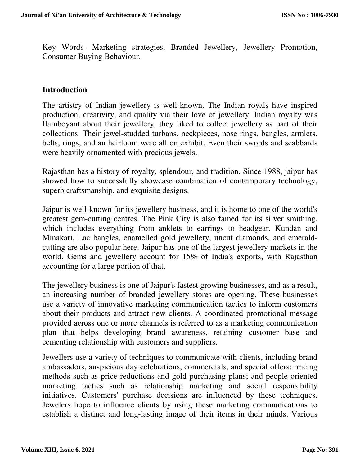Key Words- Marketing strategies, Branded Jewellery, Jewellery Promotion, Consumer Buying Behaviour.

#### **Introduction**

The artistry of Indian jewellery is well-known. The Indian royals have inspired production, creativity, and quality via their love of jewellery. Indian royalty was flamboyant about their jewellery, they liked to collect jewellery as part of their collections. Their jewel-studded turbans, neckpieces, nose rings, bangles, armlets, belts, rings, and an heirloom were all on exhibit. Even their swords and scabbards were heavily ornamented with precious jewels.

Rajasthan has a history of royalty, splendour, and tradition. Since 1988, jaipur has showed how to successfully showcase combination of contemporary technology, superb craftsmanship, and exquisite designs.

Jaipur is well-known for its jewellery business, and it is home to one of the world's greatest gem-cutting centres. The Pink City is also famed for its silver smithing, which includes everything from anklets to earrings to headgear. Kundan and Minakari, Lac bangles, enamelled gold jewellery, uncut diamonds, and emeraldcutting are also popular here. Jaipur has one of the largest jewellery markets in the world. Gems and jewellery account for 15% of India's exports, with Rajasthan accounting for a large portion of that.

The jewellery business is one of Jaipur's fastest growing businesses, and as a result, an increasing number of branded jewellery stores are opening. These businesses use a variety of innovative marketing communication tactics to inform customers about their products and attract new clients. A coordinated promotional message provided across one or more channels is referred to as a marketing communication plan that helps developing brand awareness, retaining customer base and cementing relationship with customers and suppliers.

Jewellers use a variety of techniques to communicate with clients, including brand ambassadors, auspicious day celebrations, commercials, and special offers; pricing methods such as price reductions and gold purchasing plans; and people-oriented marketing tactics such as relationship marketing and social responsibility initiatives. Customers' purchase decisions are influenced by these techniques. Jewelers hope to influence clients by using these marketing communications to establish a distinct and long-lasting image of their items in their minds. Various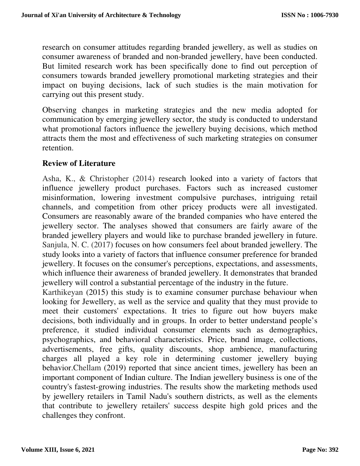research on consumer attitudes regarding branded jewellery, as well as studies on consumer awareness of branded and non-branded jewellery, have been conducted. But limited research work has been specifically done to find out perception of consumers towards branded jewellery promotional marketing strategies and their impact on buying decisions, lack of such studies is the main motivation for carrying out this present study.

Observing changes in marketing strategies and the new media adopted for communication by emerging jewellery sector, the study is conducted to understand what promotional factors influence the jewellery buying decisions, which method attracts them the most and effectiveness of such marketing strategies on consumer retention.

## **Review of Literature**

Asha, K., & Christopher (2014) research looked into a variety of factors that influence jewellery product purchases. Factors such as increased customer misinformation, lowering investment compulsive purchases, intriguing retail channels, and competition from other pricey products were all investigated. Consumers are reasonably aware of the branded companies who have entered the jewellery sector. The analyses showed that consumers are fairly aware of the branded jewellery players and would like to purchase branded jewellery in future. Sanjula, N. C. (2017) focuses on how consumers feel about branded jewellery. The study looks into a variety of factors that influence consumer preference for branded jewellery. It focuses on the consumer's perceptions, expectations, and assessments, which influence their awareness of branded jewellery. It demonstrates that branded jewellery will control a substantial percentage of the industry in the future.

Karthikeyan (2015) this study is to examine consumer purchase behaviour when looking for Jewellery, as well as the service and quality that they must provide to meet their customers' expectations. It tries to figure out how buyers make decisions, both individually and in groups. In order to better understand people's preference, it studied individual consumer elements such as demographics, psychographics, and behavioral characteristics. Price, brand image, collections, advertisements, free gifts, quality discounts, shop ambience, manufacturing charges all played a key role in determining customer jewellery buying behavior.Chellam (2019) reported that since ancient times, jewellery has been an important component of Indian culture. The Indian jewellery business is one of the country's fastest-growing industries. The results show the marketing methods used by jewellery retailers in Tamil Nadu's southern districts, as well as the elements that contribute to jewellery retailers' success despite high gold prices and the challenges they confront.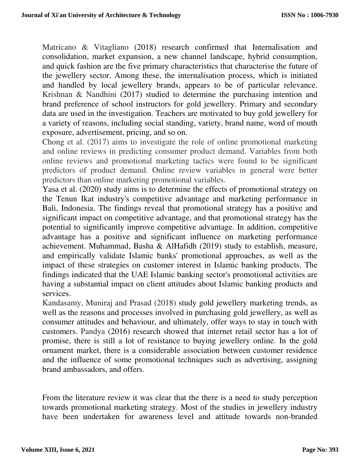Matricano & Vitagliano (2018) research confirmed that Internalisation and consolidation, market expansion, a new channel landscape, hybrid consumption, and quick fashion are the five primary characteristics that characterise the future of the jewellery sector. Among these, the internalisation process, which is initiated and handled by local jewellery brands, appears to be of particular relevance. Krishnan & Nandhini (2017) studied to determine the purchasing intention and brand preference of school instructors for gold jewellery. Primary and secondary data are used in the investigation. Teachers are motivated to buy gold jewellery for a variety of reasons, including social standing, variety, brand name, word of mouth exposure, advertisement, pricing, and so on.

Chong et al. (2017) aims to investigate the role of online promotional marketing and online reviews in predicting consumer product demand. Variables from both online reviews and promotional marketing tactics were found to be significant predictors of product demand. Online review variables in general were better predictors than online marketing promotional variables.

Yasa et al. (2020) study aims is to determine the effects of promotional strategy on the Tenun Ikat industry's competitive advantage and marketing performance in Bali, Indonesia. The findings reveal that promotional strategy has a positive and significant impact on competitive advantage, and that promotional strategy has the potential to significantly improve competitive advantage. In addition, competitive advantage has a positive and significant influence on marketing performance achievement. Muhammad, Basha & AlHafidh (2019) study to establish, measure, and empirically validate Islamic banks' promotional approaches, as well as the impact of these strategies on customer interest in Islamic banking products. The findings indicated that the UAE Islamic banking sector's promotional activities are having a substantial impact on client attitudes about Islamic banking products and services.

Kandasamy, Muniraj and Prasad (2018) study gold jewellery marketing trends, as well as the reasons and processes involved in purchasing gold jewellery, as well as consumer attitudes and behaviour, and ultimately, offer ways to stay in touch with customers. Pandya (2016) research showed that internet retail sector has a lot of promise, there is still a lot of resistance to buying jewellery online. In the gold ornament market, there is a considerable association between customer residence and the influence of some promotional techniques such as advertising, assigning brand ambassadors, and offers.

From the literature review it was clear that the there is a need to study perception towards promotional marketing strategy. Most of the studies in jewellery industry have been undertaken for awareness level and attitude towards non-branded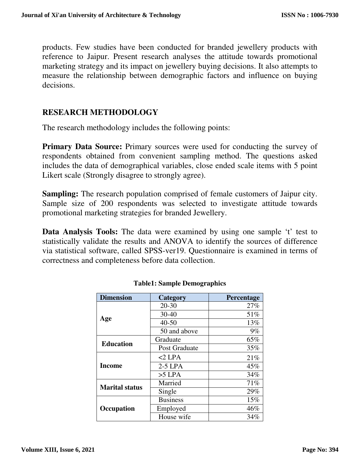products. Few studies have been conducted for branded jewellery products with reference to Jaipur. Present research analyses the attitude towards promotional marketing strategy and its impact on jewellery buying decisions. It also attempts to measure the relationship between demographic factors and influence on buying decisions.

## **RESEARCH METHODOLOGY**

The research methodology includes the following points:

**Primary Data Source:** Primary sources were used for conducting the survey of respondents obtained from convenient sampling method. The questions asked includes the data of demographical variables, close ended scale items with 5 point Likert scale (Strongly disagree to strongly agree).

**Sampling:** The research population comprised of female customers of Jaipur city. Sample size of 200 respondents was selected to investigate attitude towards promotional marketing strategies for branded Jewellery.

**Data Analysis Tools:** The data were examined by using one sample 't' test to statistically validate the results and ANOVA to identify the sources of difference via statistical software, called SPSS-ver19. Questionnaire is examined in terms of correctness and completeness before data collection.

| <b>Dimension</b>      | Category        | Percentage |  |  |
|-----------------------|-----------------|------------|--|--|
|                       | $20 - 30$       | 27%        |  |  |
|                       | $30 - 40$       | 51%        |  |  |
| Age                   | $40 - 50$       | 13%        |  |  |
|                       | 50 and above    | $9\%$      |  |  |
| <b>Education</b>      | Graduate        | 65%        |  |  |
|                       | Post Graduate   | 35%        |  |  |
|                       | $<$ 2 LPA       | 21%        |  |  |
| <b>Income</b>         | $2-5$ LPA       | 45%        |  |  |
|                       | $>5$ LPA        | 34%        |  |  |
| <b>Marital status</b> | Married         | 71%        |  |  |
|                       | Single          | 29%        |  |  |
|                       | <b>Business</b> | 15%        |  |  |
| Occupation            | Employed        | 46%        |  |  |
|                       | House wife      | 34%        |  |  |

#### **Table1: Sample Demographics**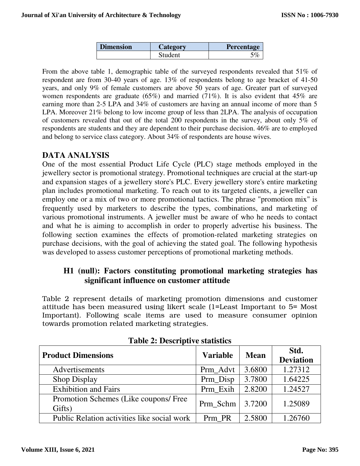| <b>Dimension</b><br>Category |         | <b>Percentage</b> |  |  |
|------------------------------|---------|-------------------|--|--|
|                              | Student |                   |  |  |

From the above table 1, demographic table of the surveyed respondents revealed that 51% of respondent are from 30-40 years of age. 13% of respondents belong to age bracket of 41-50 years, and only 9% of female customers are above 50 years of age. Greater part of surveyed women respondents are graduate (65%) and married (71%). It is also evident that 45% are earning more than 2-5 LPA and 34% of customers are having an annual income of more than 5 LPA. Moreover 21% belong to low income group of less than 2LPA. The analysis of occupation of customers revealed that out of the total 200 respondents in the survey, about only 5% of respondents are students and they are dependent to their purchase decision. 46% are to employed and belong to service class category. About 34% of respondents are house wives.

#### **DATA ANALYSIS**

One of the most essential Product Life Cycle (PLC) stage methods employed in the jewellery sector is promotional strategy. Promotional techniques are crucial at the start-up and expansion stages of a jewellery store's PLC. Every jewellery store's entire marketing plan includes promotional marketing. To reach out to its targeted clients, a jeweller can employ one or a mix of two or more promotional tactics. The phrase "promotion mix" is frequently used by marketers to describe the types, combinations, and marketing of various promotional instruments. A jeweller must be aware of who he needs to contact and what he is aiming to accomplish in order to properly advertise his business. The following section examines the effects of promotion-related marketing strategies on purchase decisions, with the goal of achieving the stated goal. The following hypothesis was developed to assess customer perceptions of promotional marketing methods.

### **H1 (null): Factors constituting promotional marketing strategies has significant influence on customer attitude**

Table 2 represent details of marketing promotion dimensions and customer attitude has been measured using likert scale (1=Least Important to 5= Most Important). Following scale items are used to measure consumer opinion towards promotion related marketing strategies.

| <b>Product Dimensions</b>                       | <b>Variable</b> | <b>Mean</b> | Std.<br><b>Deviation</b> |
|-------------------------------------------------|-----------------|-------------|--------------------------|
| Advertisements                                  | Prm_Advt        | 3.6800      | 1.27312                  |
| Shop Display                                    | Prm Disp        | 3.7800      | 1.64225                  |
| <b>Exhibition and Fairs</b>                     | Prm Exih        | 2.8200      | 1.24527                  |
| Promotion Schemes (Like coupons/ Free<br>Gifts) | Prm_Schm        | 3.7200      | 1.25089                  |
| Public Relation activities like social work     | Prm PR          | 2.5800      | 1.26760                  |

**Table 2: Descriptive statistics**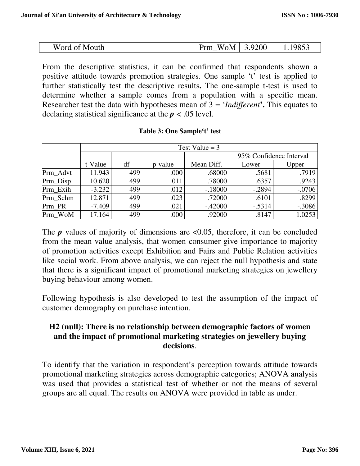| Word<br>Mouth<br>l nt | Prm<br>∕∩Μ<br>W. | <b>200</b><br>u | .005<br>чл |
|-----------------------|------------------|-----------------|------------|

From the descriptive statistics, it can be confirmed that respondents shown a positive attitude towards promotion strategies. One sample 't' test is applied to further statistically test the descriptive results**.** The one-sample t-test is used to determine whether a sample comes from a population with a specific mean. Researcher test the data with hypotheses mean of 3 = '*Indifferent***'.** This equates to declaring statistical significance at the *p* < .05 level.

|          | Test Value = $3$ |     |         |            |                         |          |  |  |
|----------|------------------|-----|---------|------------|-------------------------|----------|--|--|
|          |                  |     |         |            | 95% Confidence Interval |          |  |  |
|          | t-Value          | df  | p-value | Mean Diff. | Lower                   | Upper    |  |  |
| Prm_Advt | 11.943           | 499 | .000    | .68000     | .5681                   | .7919    |  |  |
| Prm_Disp | 10.620           | 499 | .011    | .78000     | .6357                   | .9243    |  |  |
| Prm Exih | $-3.232$         | 499 | .012    | $-.18000$  | $-.2894$                | $-.0706$ |  |  |
| Prm Schm | 12.871           | 499 | .023    | .72000     | .6101                   | .8299    |  |  |
| Prm PR   | $-7.409$         | 499 | .021    | $-.42000$  | $-.5314$                | $-.3086$ |  |  |
| Prm WoM  | 17.164           | 499 | .000    | .92000     | .8147                   | 1.0253   |  |  |

#### **Table 3: One Sample't' test**

The  $p$  values of majority of dimensions are  $\langle 0.05 \rangle$ , therefore, it can be concluded from the mean value analysis, that women consumer give importance to majority of promotion activities except Exhibition and Fairs and Public Relation activities like social work. From above analysis, we can reject the null hypothesis and state that there is a significant impact of promotional marketing strategies on jewellery buying behaviour among women.

Following hypothesis is also developed to test the assumption of the impact of customer demography on purchase intention.

## **H2 (null): There is no relationship between demographic factors of women and the impact of promotional marketing strategies on jewellery buying decisions**.

To identify that the variation in respondent's perception towards attitude towards promotional marketing strategies across demographic categories; ANOVA analysis was used that provides a statistical test of whether or not the means of several groups are all equal. The results on ANOVA were provided in table as under.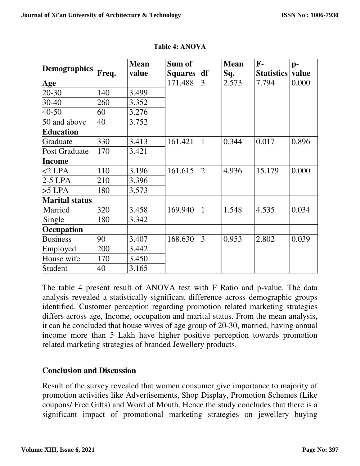| <b>Demographics</b>   |       | <b>Mean</b> | Sum of         |                | <b>Mean</b> | F-                | $p-$  |
|-----------------------|-------|-------------|----------------|----------------|-------------|-------------------|-------|
|                       | Freq. | value       | <b>Squares</b> | df             | Sq.         | <b>Statistics</b> | value |
| Age                   |       |             | 171.488        | 3              | 2.573       | 7.794             | 0.000 |
| 20-30                 | 140   | 3.499       |                |                |             |                   |       |
| 30-40                 | 260   | 3.352       |                |                |             |                   |       |
| 40-50                 | 60    | 3.276       |                |                |             |                   |       |
| 50 and above          | 40    | 3.752       |                |                |             |                   |       |
| <b>Education</b>      |       |             |                |                |             |                   |       |
| Graduate              | 330   | 3.413       | 161.421        | $\mathbf{1}$   | 0.344       | 0.017             | 0.896 |
| <b>Post Graduate</b>  | 170   | 3.421       |                |                |             |                   |       |
| Income                |       |             |                |                |             |                   |       |
| $<$ 2 LPA             | 110   | 3.196       | 161.615        | $\overline{2}$ | 4.936       | 15.179            | 0.000 |
| $2-5$ LPA             | 210   | 3.396       |                |                |             |                   |       |
| $>5$ LPA              | 180   | 3.573       |                |                |             |                   |       |
| <b>Marital status</b> |       |             |                |                |             |                   |       |
| Married               | 320   | 3.458       | 169.940        | $\mathbf{1}$   | 1.548       | 4.535             | 0.034 |
| Single                | 180   | 3.342       |                |                |             |                   |       |
| Occupation            |       |             |                |                |             |                   |       |
| <b>Business</b>       | 90    | 3.407       | 168.630        | 3              | 0.953       | 2.802             | 0.039 |
| Employed              | 200   | 3.442       |                |                |             |                   |       |
| House wife            | 170   | 3.450       |                |                |             |                   |       |
| Student               | 40    | 3.165       |                |                |             |                   |       |

**Table 4: ANOVA** 

The table 4 present result of ANOVA test with F Ratio and p-value. The data analysis revealed a statistically significant difference across demographic groups identified. Customer perception regarding promotion related marketing strategies differs across age, Income, occupation and marital status. From the mean analysis, it can be concluded that house wives of age group of 20-30, married, having annual income more than 5 Lakh have higher positive perception towards promotion related marketing strategies of branded Jewellery products.

## **Conclusion and Discussion**

Result of the survey revealed that women consumer give importance to majority of promotion activities like Advertisements, Shop Display, Promotion Schemes (Like coupons/ Free Gifts) and Word of Mouth. Hence the study concludes that there is a significant impact of promotional marketing strategies on jewellery buying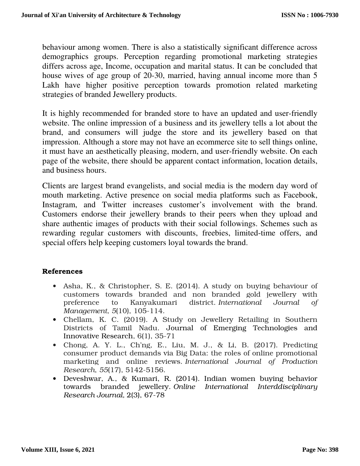behaviour among women. There is also a statistically significant difference across demographics groups. Perception regarding promotional marketing strategies differs across age, Income, occupation and marital status. It can be concluded that house wives of age group of 20-30, married, having annual income more than 5 Lakh have higher positive perception towards promotion related marketing strategies of branded Jewellery products.

It is highly recommended for branded store to have an updated and user-friendly website. The online impression of a business and its jewellery tells a lot about the brand, and consumers will judge the store and its jewellery based on that impression. Although a store may not have an ecommerce site to sell things online, it must have an aesthetically pleasing, modern, and user-friendly website. On each page of the website, there should be apparent contact information, location details, and business hours.

Clients are largest brand evangelists, and social media is the modern day word of mouth marketing. Active presence on social media platforms such as Facebook, Instagram, and Twitter increases customer's involvement with the brand. Customers endorse their jewellery brands to their peers when they upload and share authentic images of products with their social followings. Schemes such as rewarding regular customers with discounts, freebies, limited-time offers, and special offers help keeping customers loyal towards the brand.

#### References

- Asha, K., & Christopher, S. E. (2014). A study on buying behaviour of customers towards branded and non branded gold jewellery with preference to Kanyakumari district. *International Journal of Management*, *5*(10), 105-114.
- Chellam, K. C. (2019). A Study on Jewellery Retailing in Southern Districts of Tamil Nadu. Journal of Emerging Technologies and Innovative Research, 6(1), 35-71
- Chong, A. Y. L., Ch'ng, E., Liu, M. J., & Li, B. (2017). Predicting consumer product demands via Big Data: the roles of online promotional marketing and online reviews. *International Journal of Production Research*, *55*(17), 5142-5156.
- Deveshwar, A., & Kumari, R. (2014). Indian women buying behavior towards branded jewellery. *Online International Interddisciplinary Research Journal,* 2(3), 67-78